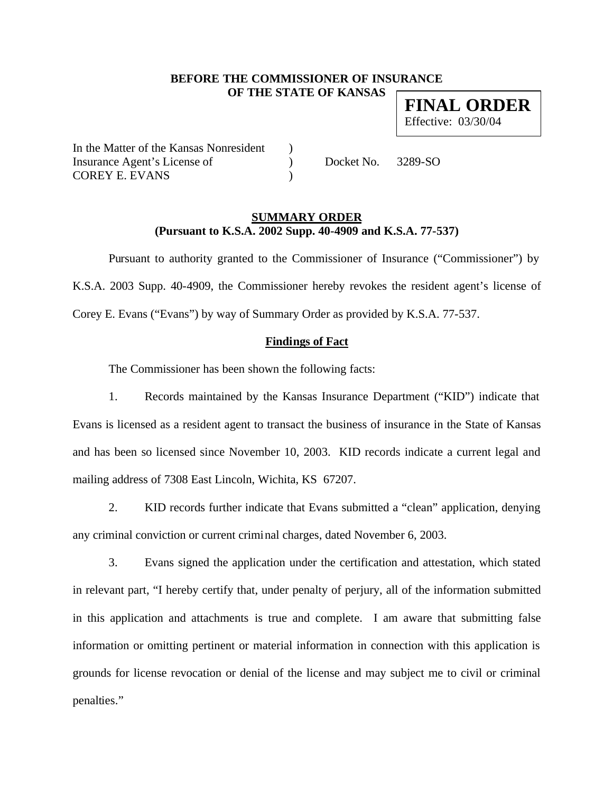### **BEFORE THE COMMISSIONER OF INSURANCE OF THE STATE OF KANSAS**

**FINAL ORDER** Effective: 03/30/04

In the Matter of the Kansas Nonresident ) Insurance Agent's License of  $Docket No. 3289-SO$ COREY E. EVANS )

#### **SUMMARY ORDER (Pursuant to K.S.A. 2002 Supp. 40-4909 and K.S.A. 77-537)**

Pursuant to authority granted to the Commissioner of Insurance ("Commissioner") by K.S.A. 2003 Supp. 40-4909, the Commissioner hereby revokes the resident agent's license of Corey E. Evans ("Evans") by way of Summary Order as provided by K.S.A. 77-537.

# **Findings of Fact**

The Commissioner has been shown the following facts:

1. Records maintained by the Kansas Insurance Department ("KID") indicate that Evans is licensed as a resident agent to transact the business of insurance in the State of Kansas and has been so licensed since November 10, 2003. KID records indicate a current legal and mailing address of 7308 East Lincoln, Wichita, KS 67207.

2. KID records further indicate that Evans submitted a "clean" application, denying any criminal conviction or current criminal charges, dated November 6, 2003.

3. Evans signed the application under the certification and attestation, which stated in relevant part, "I hereby certify that, under penalty of perjury, all of the information submitted in this application and attachments is true and complete. I am aware that submitting false information or omitting pertinent or material information in connection with this application is grounds for license revocation or denial of the license and may subject me to civil or criminal penalties."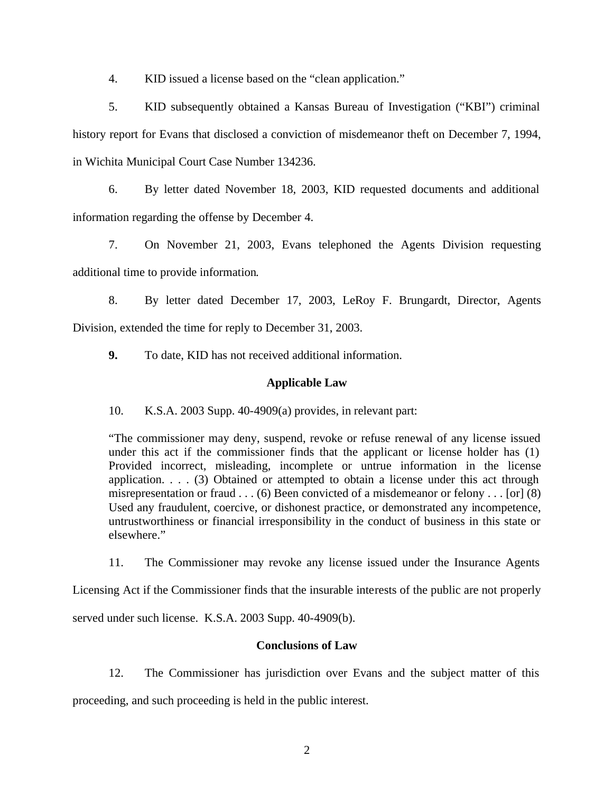4. KID issued a license based on the "clean application."

5. KID subsequently obtained a Kansas Bureau of Investigation ("KBI") criminal history report for Evans that disclosed a conviction of misdemeanor theft on December 7, 1994, in Wichita Municipal Court Case Number 134236.

6. By letter dated November 18, 2003, KID requested documents and additional information regarding the offense by December 4.

7. On November 21, 2003, Evans telephoned the Agents Division requesting additional time to provide information.

8. By letter dated December 17, 2003, LeRoy F. Brungardt, Director, Agents Division, extended the time for reply to December 31, 2003.

**9.** To date, KID has not received additional information.

# **Applicable Law**

10. K.S.A. 2003 Supp. 40-4909(a) provides, in relevant part:

"The commissioner may deny, suspend, revoke or refuse renewal of any license issued under this act if the commissioner finds that the applicant or license holder has (1) Provided incorrect, misleading, incomplete or untrue information in the license application. . . . (3) Obtained or attempted to obtain a license under this act through misrepresentation or fraud . . . (6) Been convicted of a misdemeanor or felony . . . [or] (8) Used any fraudulent, coercive, or dishonest practice, or demonstrated any incompetence, untrustworthiness or financial irresponsibility in the conduct of business in this state or elsewhere."

11. The Commissioner may revoke any license issued under the Insurance Agents

Licensing Act if the Commissioner finds that the insurable interests of the public are not properly

served under such license. K.S.A. 2003 Supp. 40-4909(b).

# **Conclusions of Law**

12. The Commissioner has jurisdiction over Evans and the subject matter of this proceeding, and such proceeding is held in the public interest.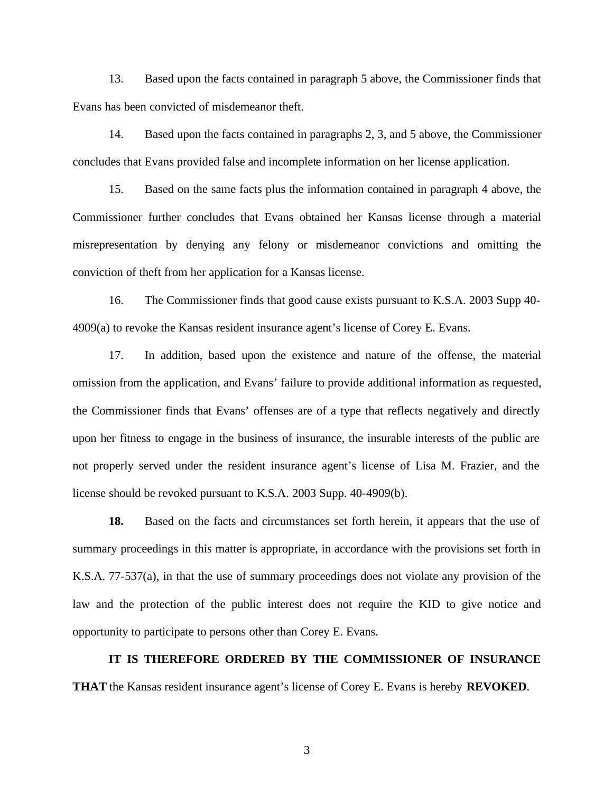13. Based upon the facts contained in paragraph 5 above, the Commissioner finds that Evans has been convicted of misdemeanor theft.

14. Based upon the facts contained in paragraphs 2, 3, and 5 above, the Commissioner concludes that Evans provided false and incomplete information on her license application.

15. Based on the same facts plus the information contained in paragraph 4 above, the Commissioner further concludes that Evans obtained her Kansas license through a material misrepresentation by denying any felony or misdemeanor convictions and omitting the conviction of theft from her application for a Kansas license.

16. The Commissioner finds that good cause exists pursuant to K.S.A. 2003 Supp 40- 4909(a) to revoke the Kansas resident insurance agent's license of Corey E. Evans.

17. In addition, based upon the existence and nature of the offense, the material omission from the application, and Evans' failure to provide additional information as requested, the Commissioner finds that Evans' offenses are of a type that reflects negatively and directly upon her fitness to engage in the business of insurance, the insurable interests of the public are not properly served under the resident insurance agent's license of Lisa M. Frazier, and the license should be revoked pursuant to K.S.A. 2003 Supp. 40-4909(b).

**18.** Based on the facts and circumstances set forth herein, it appears that the use of summary proceedings in this matter is appropriate, in accordance with the provisions set forth in K.S.A. 77-537(a), in that the use of summary proceedings does not violate any provision of the law and the protection of the public interest does not require the KID to give notice and opportunity to participate to persons other than Corey E. Evans.

**IT IS THEREFORE ORDERED BY THE COMMISSIONER OF INSURANCE THAT** the Kansas resident insurance agent's license of Corey E. Evans is hereby **REVOKED**.

3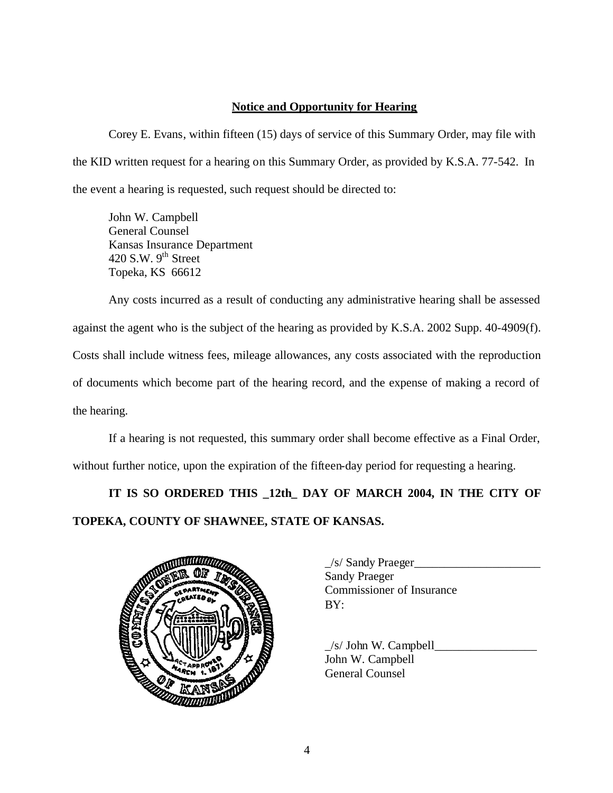### **Notice and Opportunity for Hearing**

Corey E. Evans, within fifteen (15) days of service of this Summary Order, may file with the KID written request for a hearing on this Summary Order, as provided by K.S.A. 77-542. In the event a hearing is requested, such request should be directed to:

John W. Campbell General Counsel Kansas Insurance Department 420 S.W.  $9<sup>th</sup>$  Street Topeka, KS 66612

Any costs incurred as a result of conducting any administrative hearing shall be assessed against the agent who is the subject of the hearing as provided by K.S.A. 2002 Supp. 40-4909(f). Costs shall include witness fees, mileage allowances, any costs associated with the reproduction of documents which become part of the hearing record, and the expense of making a record of the hearing.

If a hearing is not requested, this summary order shall become effective as a Final Order, without further notice, upon the expiration of the fifteen-day period for requesting a hearing.

**IT IS SO ORDERED THIS \_12th\_ DAY OF MARCH 2004, IN THE CITY OF TOPEKA, COUNTY OF SHAWNEE, STATE OF KANSAS.** 



| /s/ Sandy Praeger                |
|----------------------------------|
| <b>Sandy Praeger</b>             |
| <b>Commissioner of Insurance</b> |
| BY:                              |
|                                  |

 $/s/$  John W. Campbell John W. Campbell General Counsel